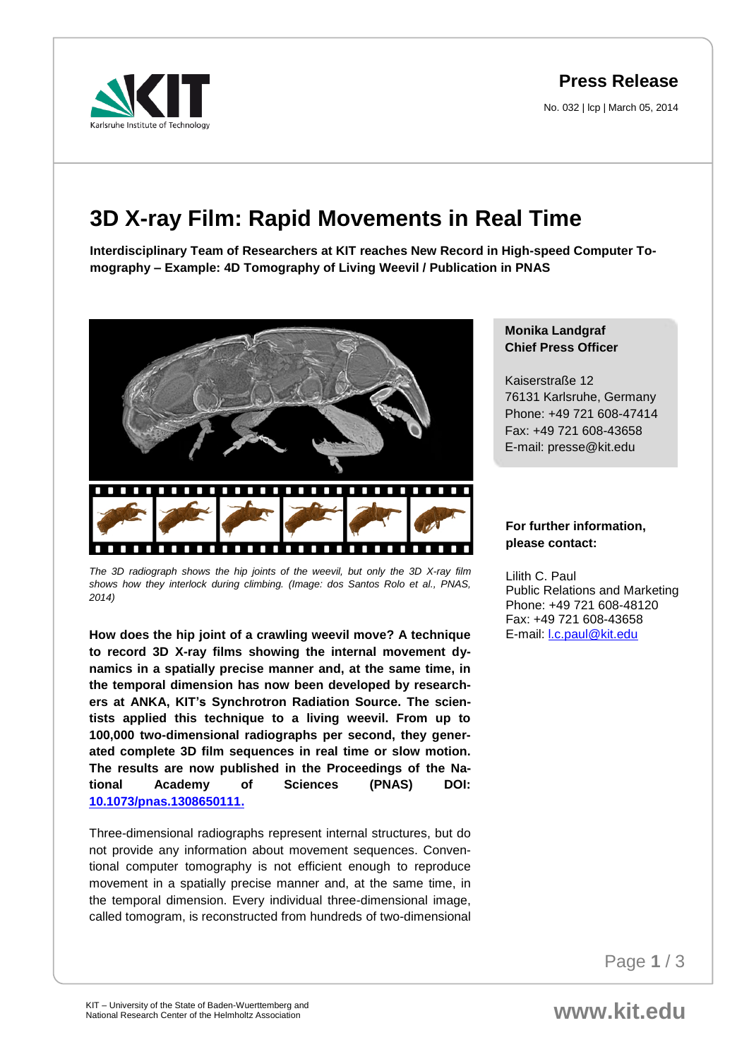### **Press Release**

No. 032 | lcp | March 05, 2014

# **3D X-ray Film: Rapid Movements in Real Time**

**Interdisciplinary Team of Researchers at KIT reaches New Record in High-speed Computer Tomography – Example: 4D Tomography of Living Weevil / Publication in PNAS**



*The 3D radiograph shows the hip joints of the weevil, but only the 3D X-ray film shows how they interlock during climbing. (Image: dos Santos Rolo et al., PNAS, 2014)*

**How does the hip joint of a crawling weevil move? A technique to record 3D X-ray films showing the internal movement dynamics in a spatially precise manner and, at the same time, in the temporal dimension has now been developed by researchers at ANKA, KIT's Synchrotron Radiation Source. The scientists applied this technique to a living weevil. From up to 100,000 two-dimensional radiographs per second, they generated complete 3D film sequences in real time or slow motion. The results are now published in the Proceedings of the National Academy of Sciences (PNAS) DOI: [10.1073/pnas.1308650111.](http://www.pnas.org/cgi/doi/10.1073/pnas.1308650111)**

Three-dimensional radiographs represent internal structures, but do not provide any information about movement sequences. Conventional computer tomography is not efficient enough to reproduce movement in a spatially precise manner and, at the same time, in the temporal dimension. Every individual three-dimensional image, called tomogram, is reconstructed from hundreds of two-dimensional

#### **Monika Landgraf Chief Press Officer**

Kaiserstraße 12 76131 Karlsruhe, Germany Phone: +49 721 608-47414 Fax: +49 721 608-43658 E-mail: presse@kit.edu

#### **For further information, please contact:**

Lilith C. Paul Public Relations and Marketing Phone: +49 721 608-48120 Fax: +49 721 608-43658 E-mail: [l.c.paul@kit.edu](mailto:l.c.paul@kit.edu)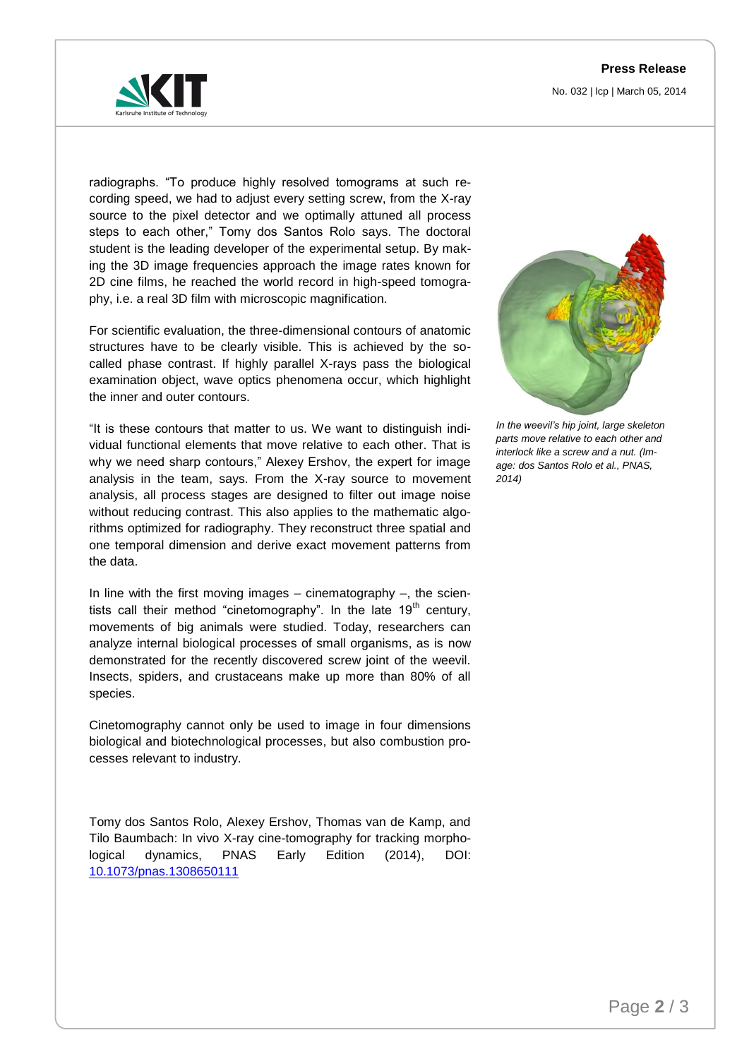## **Press Release**

No. 032 | lcp | March 05, 2014



radiographs. "To produce highly resolved tomograms at such recording speed, we had to adjust every setting screw, from the X-ray source to the pixel detector and we optimally attuned all process steps to each other," Tomy dos Santos Rolo says. The doctoral student is the leading developer of the experimental setup. By making the 3D image frequencies approach the image rates known for 2D cine films, he reached the world record in high-speed tomography, i.e. a real 3D film with microscopic magnification.

For scientific evaluation, the three-dimensional contours of anatomic structures have to be clearly visible. This is achieved by the socalled phase contrast. If highly parallel X-rays pass the biological examination object, wave optics phenomena occur, which highlight the inner and outer contours.

"It is these contours that matter to us. We want to distinguish individual functional elements that move relative to each other. That is why we need sharp contours," Alexey Ershov, the expert for image analysis in the team, says. From the X-ray source to movement analysis, all process stages are designed to filter out image noise without reducing contrast. This also applies to the mathematic algorithms optimized for radiography. They reconstruct three spatial and one temporal dimension and derive exact movement patterns from the data.

In line with the first moving images  $-$  cinematography  $-$ , the scientists call their method "cinetomography". In the late  $19<sup>th</sup>$  century, movements of big animals were studied. Today, researchers can analyze internal biological processes of small organisms, as is now demonstrated for the recently discovered screw joint of the weevil. Insects, spiders, and crustaceans make up more than 80% of all species.

Cinetomography cannot only be used to image in four dimensions biological and biotechnological processes, but also combustion processes relevant to industry.

Tomy dos Santos Rolo, Alexey Ershov, Thomas van de Kamp, and Tilo Baumbach: In vivo X-ray cine-tomography for tracking morphological dynamics, PNAS Early Edition (2014), DOI: [10.1073/pnas.1308650111](http://www.pnas.org/cgi/doi/10.1073/pnas.1308650111) 



*In the weevil's hip joint, large skeleton parts move relative to each other and interlock like a screw and a nut. (Image: dos Santos Rolo et al., PNAS, 2014)*